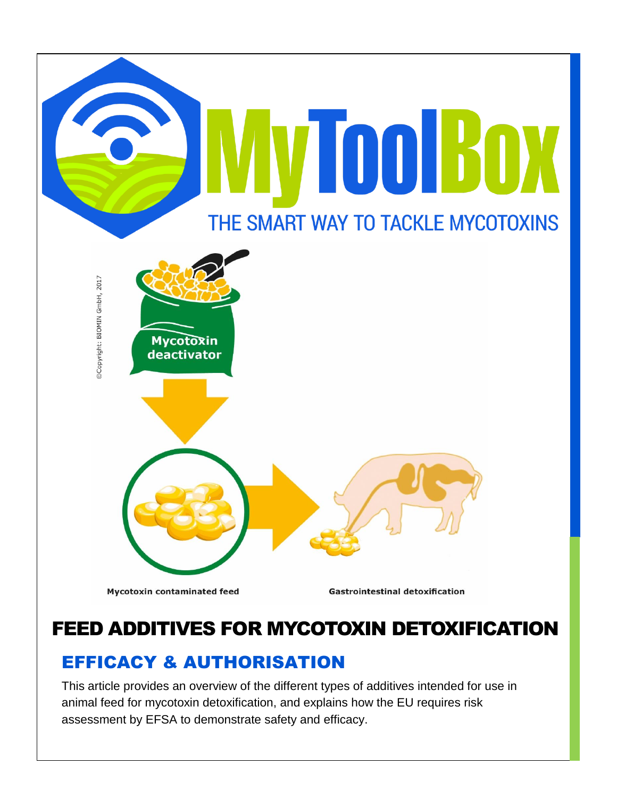

# FEED ADDITIVES FOR MYCOTOXIN DETOXIFICATION

# EFFICACY & AUTHORISATION

This article provides an overview of the different types of additives intended for use in animal feed for mycotoxin detoxification, and explains how the EU requires risk assessment by EFSA to demonstrate safety and efficacy.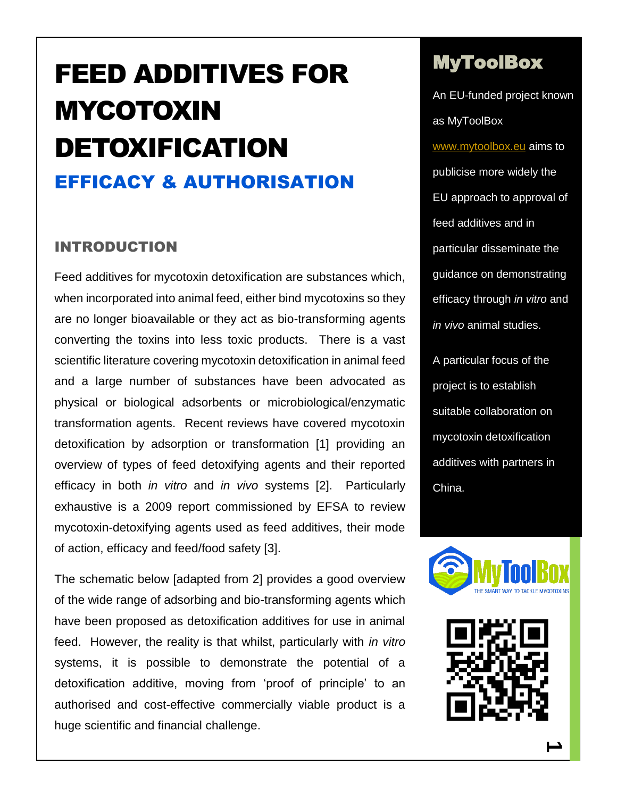# FEED ADDITIVES FOR MYCOTOXIN DETOXIFICATION EFFICACY & AUTHORISATION

#### INTRODUCTION

Feed additives for mycotoxin detoxification are substances which, when incorporated into animal feed, either bind mycotoxins so they are no longer bioavailable or they act as bio-transforming agents converting the toxins into less toxic products. There is a vast scientific literature covering mycotoxin detoxification in animal feed and a large number of substances have been advocated as physical or biological adsorbents or microbiological/enzymatic transformation agents. Recent reviews have covered mycotoxin detoxification by adsorption or transformation [1] providing an overview of types of feed detoxifying agents and their reported efficacy in both *in vitro* and *in vivo* systems [2]. Particularly exhaustive is a 2009 report commissioned by EFSA to review mycotoxin-detoxifying agents used as feed additives, their mode of action, efficacy and feed/food safety [3].

The schematic below [adapted from 2] provides a good overview of the wide range of adsorbing and bio-transforming agents which have been proposed as detoxification additives for use in animal feed. However, the reality is that whilst, particularly with *in vitro* systems, it is possible to demonstrate the potential of a detoxification additive, moving from 'proof of principle' to an authorised and cost-effective commercially viable product is a huge scientific and financial challenge.

# MyToolBox

An EU-funded project known as MyToolBox [www.mytoolbox.eu](http://www.mytoolbox.eu/) aims to publicise more widely the EU approach to approval of feed additives and in particular disseminate the guidance on demonstrating efficacy through *in vitro* and *in vivo* animal studies.

A particular focus of the project is to establish suitable collaboration on mycotoxin detoxification additives with partners in China.



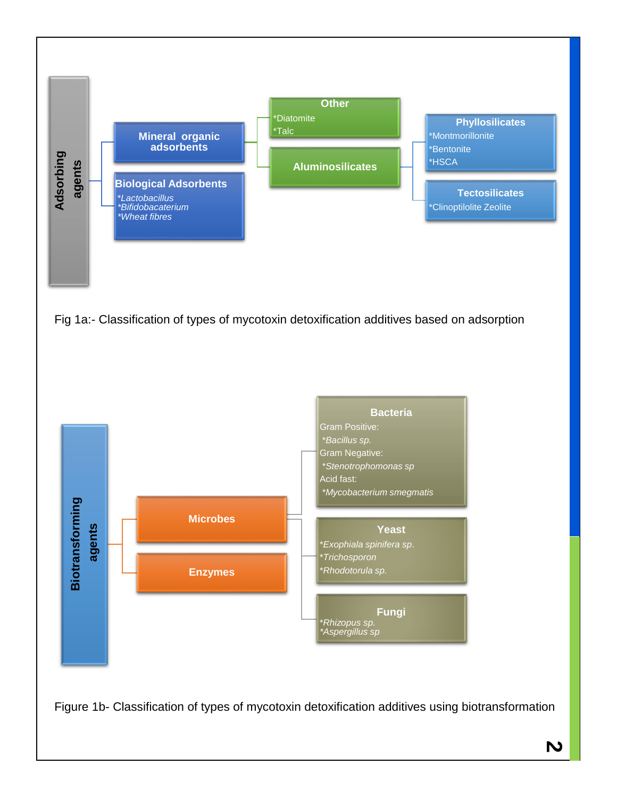

Fig 1a:- Classification of types of mycotoxin detoxification additives based on adsorption

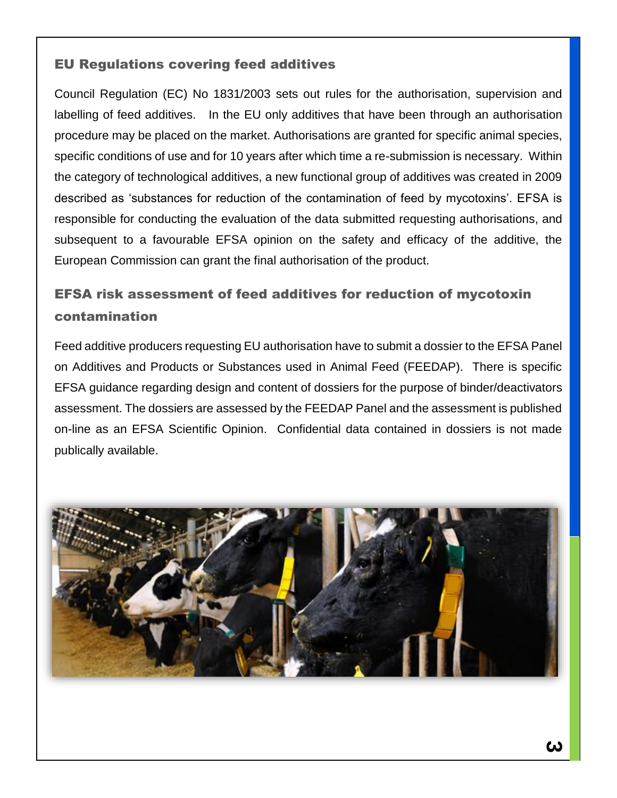## EU Regulations covering feed additives

Council Regulation (EC) No 1831/2003 sets out rules for the authorisation, supervision and labelling of feed additives. In the EU only additives that have been through an authorisation procedure may be placed on the market. Authorisations are granted for specific animal species, specific conditions of use and for 10 years after which time a re-submission is necessary. Within the category of technological additives, a new functional group of additives was created in 2009 described as 'substances for reduction of the contamination of feed by mycotoxins'. EFSA is responsible for conducting the evaluation of the data submitted requesting authorisations, and subsequent to a favourable EFSA opinion on the safety and efficacy of the additive, the European Commission can grant the final authorisation of the product.

# EFSA risk assessment of feed additives for reduction of mycotoxin contamination

Feed additive producers requesting EU authorisation have to submit a dossier to the EFSA Panel on Additives and Products or Substances used in Animal Feed (FEEDAP). There is specific EFSA guidance regarding design and content of dossiers for the purpose of binder/deactivators assessment. The dossiers are assessed by the FEEDAP Panel and the assessment is published on-line as an EFSA Scientific Opinion. Confidential data contained in dossiers is not made publically available.

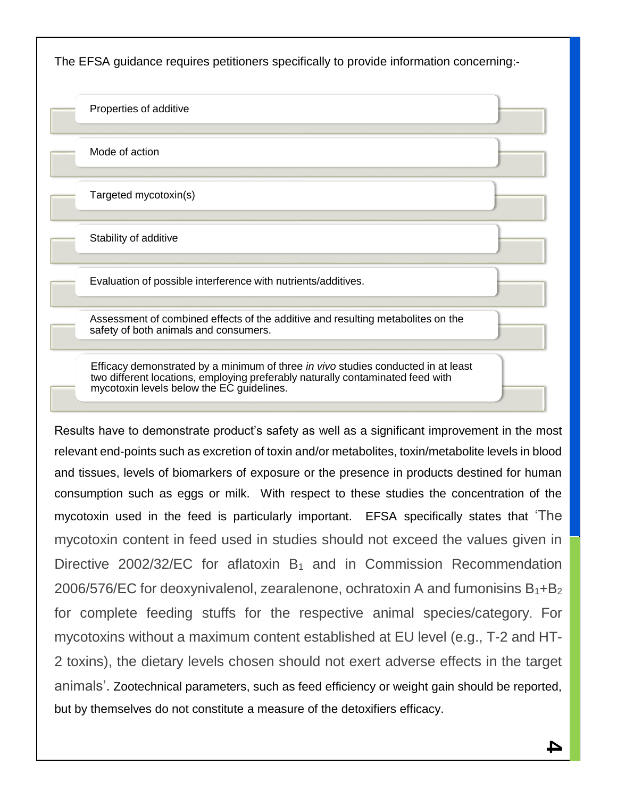The EFSA guidance requires petitioners specifically to provide information concerning:-

Properties of additive

Mode of action

Targeted mycotoxin(s)

Stability of additive

Evaluation of possible interference with nutrients/additives.

Assessment of combined effects of the additive and resulting metabolites on the safety of both animals and consumers.

Efficacy demonstrated by a minimum of three *in vivo* studies conducted in at least two different locations, employing preferably naturally contaminated feed with mycotoxin levels below the EC guidelines.

Results have to demonstrate product's safety as well as a significant improvement in the most relevant end-points such as excretion of toxin and/or metabolites, toxin/metabolite levels in blood and tissues, levels of biomarkers of exposure or the presence in products destined for human consumption such as eggs or milk. With respect to these studies the concentration of the mycotoxin used in the feed is particularly important. EFSA specifically states that 'The mycotoxin content in feed used in studies should not exceed the values given in Directive 2002/32/EC for aflatoxin  $B_1$  and in Commission Recommendation 2006/576/EC for deoxynivalenol, zearalenone, ochratoxin A and fumonisins  $B_1 + B_2$ for complete feeding stuffs for the respective animal species/category. For mycotoxins without a maximum content established at EU level (e.g., T-2 and HT-2 toxins), the dietary levels chosen should not exert adverse effects in the target animals'. Zootechnical parameters, such as feed efficiency or weight gain should be reported, but by themselves do not constitute a measure of the detoxifiers efficacy.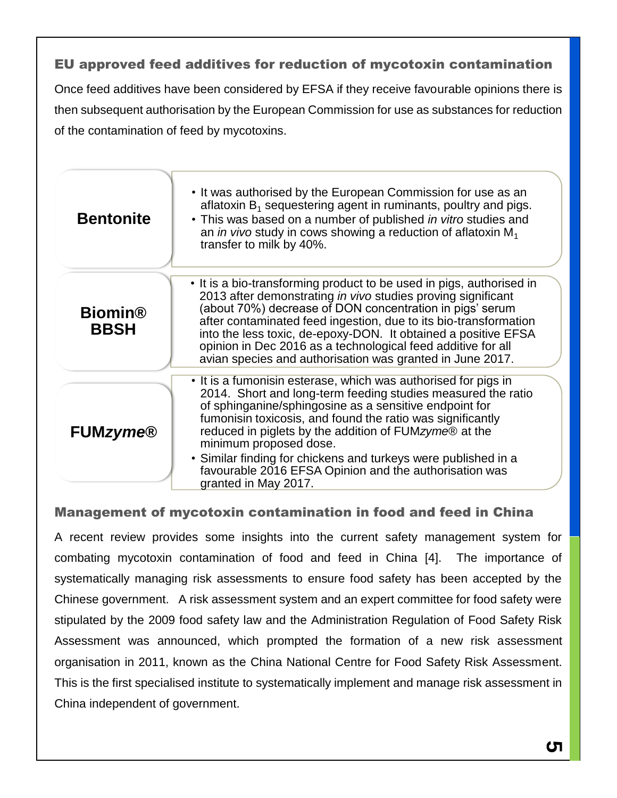## EU approved feed additives for reduction of mycotoxin contamination

Once feed additives have been considered by EFSA if they receive favourable opinions there is then subsequent authorisation by the European Commission for use as substances for reduction of the contamination of feed by mycotoxins.

| <b>Bentonite</b>              | • It was authorised by the European Commission for use as an<br>aflatoxin $B_1$ sequestering agent in ruminants, poultry and pigs.<br>• This was based on a number of published in vitro studies and<br>an in vivo study in cows showing a reduction of aflatoxin $M_1$<br>transfer to milk by 40%.                                                                                                                                                                                           |
|-------------------------------|-----------------------------------------------------------------------------------------------------------------------------------------------------------------------------------------------------------------------------------------------------------------------------------------------------------------------------------------------------------------------------------------------------------------------------------------------------------------------------------------------|
| <b>Biomin®</b><br><b>BBSH</b> | • It is a bio-transforming product to be used in pigs, authorised in<br>2013 after demonstrating in vivo studies proving significant<br>(about 70%) decrease of DON concentration in pigs' serum<br>after contaminated feed ingestion, due to its bio-transformation<br>into the less toxic, de-epoxy-DON. It obtained a positive EFSA<br>opinion in Dec 2016 as a technological feed additive for all<br>avian species and authorisation was granted in June 2017.                           |
| <b>FUMzyme®</b>               | • It is a fumonisin esterase, which was authorised for pigs in<br>2014. Short and long-term feeding studies measured the ratio<br>of sphinganine/sphingosine as a sensitive endpoint for<br>fumonisin toxicosis, and found the ratio was significantly<br>reduced in piglets by the addition of FUMzyme® at the<br>minimum proposed dose.<br>• Similar finding for chickens and turkeys were published in a<br>favourable 2016 EFSA Opinion and the authorisation was<br>granted in May 2017. |

#### Management of mycotoxin contamination in food and feed in China

A recent review provides some insights into the current safety management system for combating mycotoxin contamination of food and feed in China [4]. The importance of systematically managing risk assessments to ensure food safety has been accepted by the Chinese government. A risk assessment system and an expert committee for food safety were stipulated by the 2009 food safety law and the Administration Regulation of Food Safety Risk Assessment was announced, which prompted the formation of a new risk assessment organisation in 2011, known as the China National Centre for Food Safety Risk Assessment. This is the first specialised institute to systematically implement and manage risk assessment in China independent of government.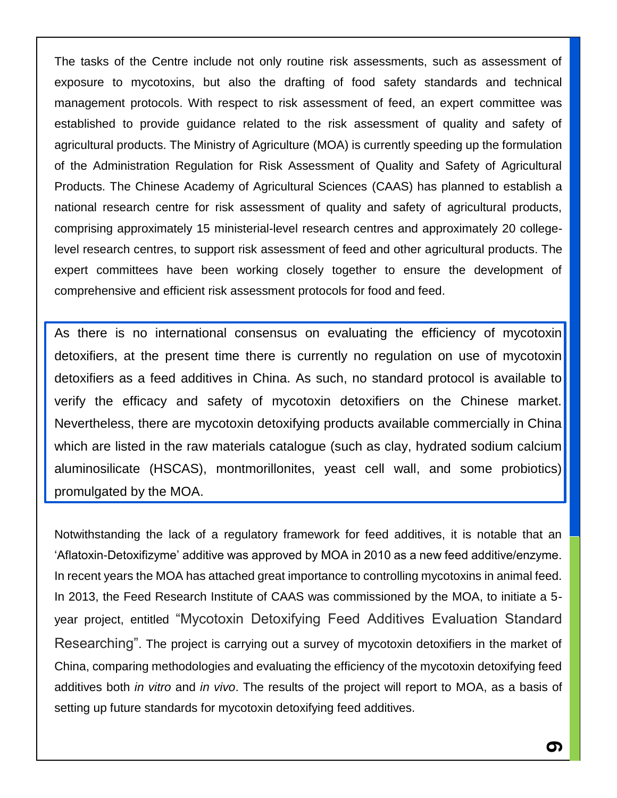The tasks of the Centre include not only routine risk assessments, such as assessment of exposure to mycotoxins, but also the drafting of food safety standards and technical management protocols. With respect to risk assessment of feed, an expert committee was established to provide guidance related to the risk assessment of quality and safety of agricultural products. The Ministry of Agriculture (MOA) is currently speeding up the formulation of the Administration Regulation for Risk Assessment of Quality and Safety of Agricultural Products. The Chinese Academy of Agricultural Sciences (CAAS) has planned to establish a national research centre for risk assessment of quality and safety of agricultural products, comprising approximately 15 ministerial-level research centres and approximately 20 collegelevel research centres, to support risk assessment of feed and other agricultural products. The expert committees have been working closely together to ensure the development of comprehensive and efficient risk assessment protocols for food and feed.

As there is no international consensus on evaluating the efficiency of mycotoxin detoxifiers, at the present time there is currently no regulation on use of mycotoxin detoxifiers as a feed additives in China. As such, no standard protocol is available to verify the efficacy and safety of mycotoxin detoxifiers on the Chinese market. Nevertheless, there are mycotoxin detoxifying products available commercially in China which are listed in the raw materials catalogue (such as clay, hydrated sodium calcium aluminosilicate (HSCAS), montmorillonites, yeast cell wall, and some probiotics) promulgated by the MOA.

Notwithstanding the lack of a regulatory framework for feed additives, it is notable that an 'Aflatoxin-Detoxifizyme' additive was approved by MOA in 2010 as a new feed additive/enzyme. In recent years the MOA has attached great importance to controlling mycotoxins in animal feed. In 2013, the Feed Research Institute of CAAS was commissioned by the MOA, to initiate a 5 year project, entitled "Mycotoxin Detoxifying Feed Additives Evaluation Standard Researching". The project is carrying out a survey of mycotoxin detoxifiers in the market of China, comparing methodologies and evaluating the efficiency of the mycotoxin detoxifying feed additives both *in vitro* and *in vivo*. The results of the project will report to MOA, as a basis of setting up future standards for mycotoxin detoxifying feed additives.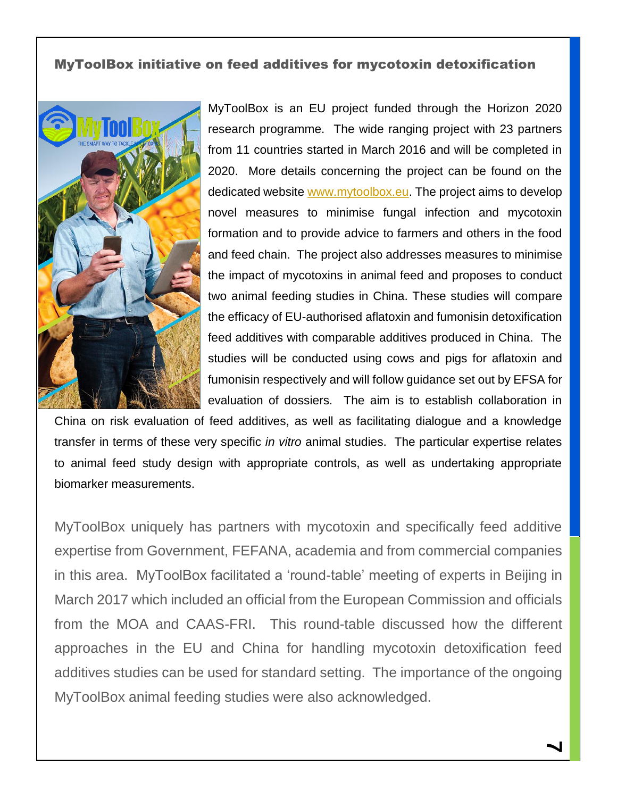#### MyToolBox initiative on feed additives for mycotoxin detoxification



MyToolBox is an EU project funded through the Horizon 2020 research programme. The wide ranging project with 23 partners from 11 countries started in March 2016 and will be completed in 2020. More details concerning the project can be found on the dedicated website [www.mytoolbox.eu.](http://www.mytoolbox.eu/) The project aims to develop novel measures to minimise fungal infection and mycotoxin formation and to provide advice to farmers and others in the food and feed chain. The project also addresses measures to minimise the impact of mycotoxins in animal feed and proposes to conduct two animal feeding studies in China. These studies will compare the efficacy of EU-authorised aflatoxin and fumonisin detoxification feed additives with comparable additives produced in China. The studies will be conducted using cows and pigs for aflatoxin and fumonisin respectively and will follow guidance set out by EFSA for evaluation of dossiers. The aim is to establish collaboration in

China on risk evaluation of feed additives, as well as facilitating dialogue and a knowledge transfer in terms of these very specific *in vitro* animal studies. The particular expertise relates to animal feed study design with appropriate controls, as well as undertaking appropriate biomarker measurements.

MyToolBox uniquely has partners with mycotoxin and specifically feed additive expertise from Government, FEFANA, academia and from commercial companies in this area. MyToolBox facilitated a 'round-table' meeting of experts in Beijing in March 2017 which included an official from the European Commission and officials from the MOA and CAAS-FRI. This round-table discussed how the different approaches in the EU and China for handling mycotoxin detoxification feed additives studies can be used for standard setting. The importance of the ongoing MyToolBox animal feeding studies were also acknowledged.